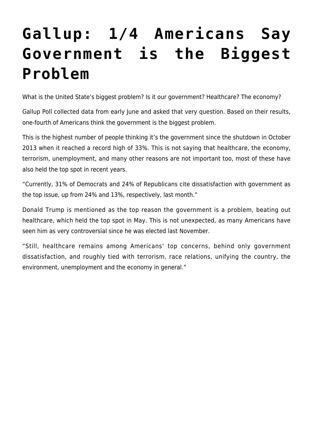## **[Gallup: 1/4 Americans Say](https://intellectualtakeout.org/2017/06/gallup-1-4-americans-say-government-is-the-biggest-problem/) [Government is the Biggest](https://intellectualtakeout.org/2017/06/gallup-1-4-americans-say-government-is-the-biggest-problem/) [Problem](https://intellectualtakeout.org/2017/06/gallup-1-4-americans-say-government-is-the-biggest-problem/)**

What is the United State's biggest problem? Is it our government? Healthcare? The economy?

Gallup Poll collected data from early June and asked that very question. Based on their results, one-fourth of Americans think the government is the biggest problem.

This is the highest number of people thinking it's the government since the shutdown in October 2013 when it reached a record high of 33%. This is not saying that healthcare, the economy, terrorism, unemployment, and many other reasons are not important too, most of these have also held the top spot in recent years.

"Currently, 31% of Democrats and 24% of Republicans cite dissatisfaction with government as the top issue, up from 24% and 13%, respectively, last month."

Donald Trump is mentioned as the top reason the government is a problem, beating out healthcare, which held the top spot in May. This is not unexpected, as many Americans have seen him as very controversial since he was elected last November.

"Still, healthcare remains among Americans' top concerns, behind only government dissatisfaction, and roughly tied with terrorism, race relations, unifying the country, the environment, unemployment and the economy in general."